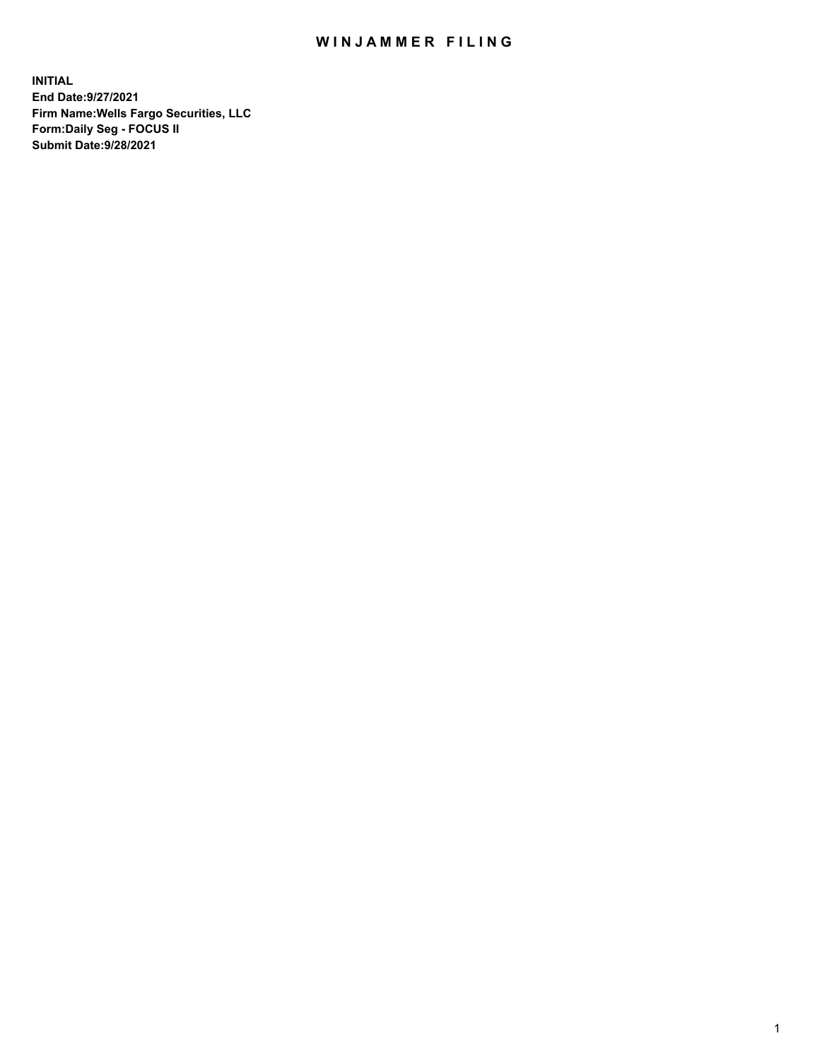## WIN JAMMER FILING

**INITIAL End Date:9/27/2021 Firm Name:Wells Fargo Securities, LLC Form:Daily Seg - FOCUS II Submit Date:9/28/2021**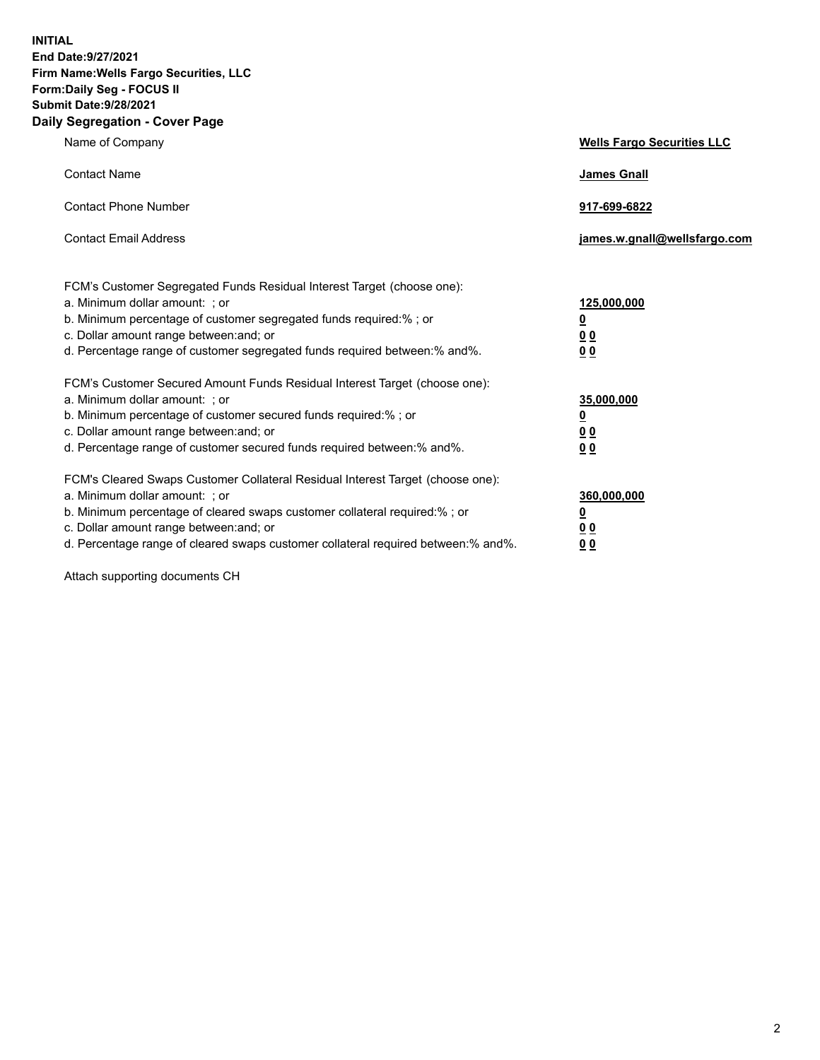**INITIAL End Date:9/27/2021 Firm Name:Wells Fargo Securities, LLC Form:Daily Seg - FOCUS II Submit Date:9/28/2021 Daily Segregation - Cover Page**

| Name of Company                                                                                                                                                                                                                                                                                                                | <b>Wells Fargo Securities LLC</b>                           |
|--------------------------------------------------------------------------------------------------------------------------------------------------------------------------------------------------------------------------------------------------------------------------------------------------------------------------------|-------------------------------------------------------------|
| <b>Contact Name</b>                                                                                                                                                                                                                                                                                                            | <b>James Gnall</b>                                          |
| <b>Contact Phone Number</b>                                                                                                                                                                                                                                                                                                    | 917-699-6822                                                |
| <b>Contact Email Address</b>                                                                                                                                                                                                                                                                                                   | james.w.gnall@wellsfargo.com                                |
| FCM's Customer Segregated Funds Residual Interest Target (choose one):<br>a. Minimum dollar amount: ; or<br>b. Minimum percentage of customer segregated funds required:% ; or<br>c. Dollar amount range between: and; or<br>d. Percentage range of customer segregated funds required between:% and%.                         | 125,000,000<br><u>0</u><br>0 <sub>0</sub><br>0 <sub>0</sub> |
| FCM's Customer Secured Amount Funds Residual Interest Target (choose one):<br>a. Minimum dollar amount: ; or<br>b. Minimum percentage of customer secured funds required:%; or<br>c. Dollar amount range between: and; or<br>d. Percentage range of customer secured funds required between:% and%.                            | 35,000,000<br><u>0</u><br>00<br>0 <sub>0</sub>              |
| FCM's Cleared Swaps Customer Collateral Residual Interest Target (choose one):<br>a. Minimum dollar amount: ; or<br>b. Minimum percentage of cleared swaps customer collateral required:% ; or<br>c. Dollar amount range between: and; or<br>d. Percentage range of cleared swaps customer collateral required between:% and%. | 360,000,000<br><u>0</u><br>0 <sub>0</sub><br>0 <sub>0</sub> |

Attach supporting documents CH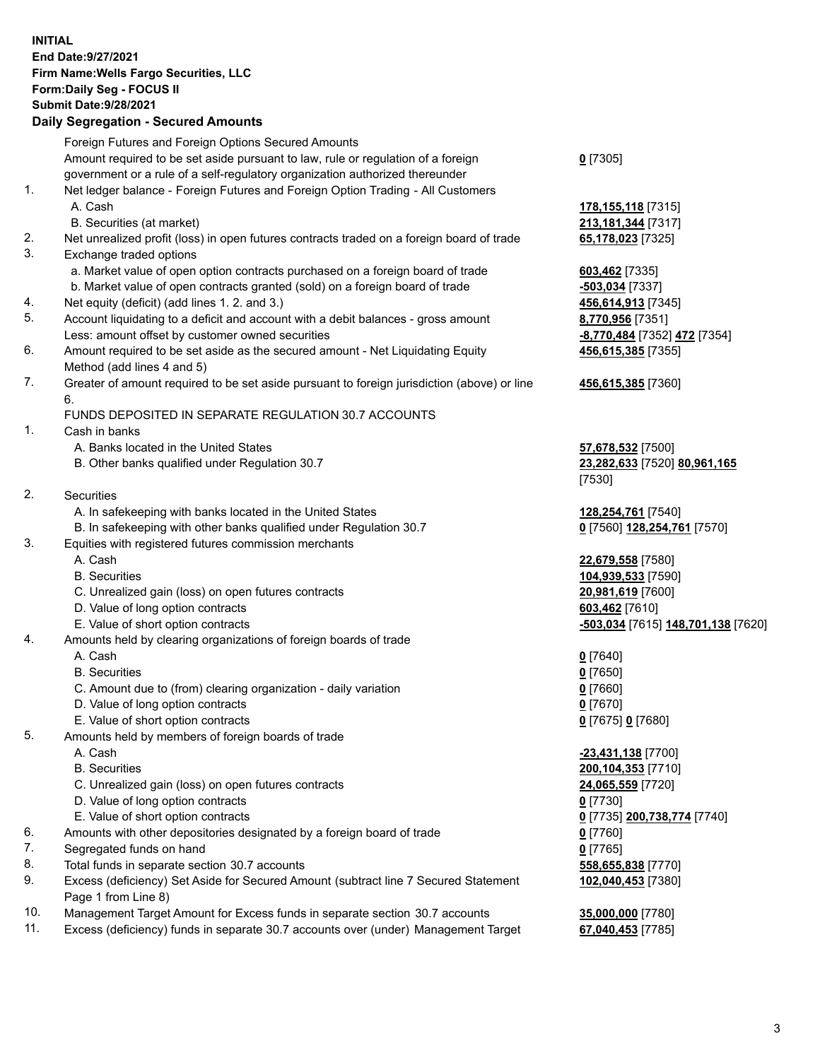**INITIAL End Date:9/27/2021 Firm Name:Wells Fargo Securities, LLC Form:Daily Seg - FOCUS II Submit Date:9/28/2021**

## **Daily Segregation - Secured Amounts**

|     | Foreign Futures and Foreign Options Secured Amounts                                         |                                    |
|-----|---------------------------------------------------------------------------------------------|------------------------------------|
|     | Amount required to be set aside pursuant to law, rule or regulation of a foreign            | $0$ [7305]                         |
|     | government or a rule of a self-regulatory organization authorized thereunder                |                                    |
| 1.  | Net ledger balance - Foreign Futures and Foreign Option Trading - All Customers             |                                    |
|     | A. Cash                                                                                     | 178, 155, 118 [7315]               |
|     | B. Securities (at market)                                                                   | 213, 181, 344 [7317]               |
| 2.  | Net unrealized profit (loss) in open futures contracts traded on a foreign board of trade   | 65,178,023 [7325]                  |
| 3.  | Exchange traded options                                                                     |                                    |
|     | a. Market value of open option contracts purchased on a foreign board of trade              | 603,462 [7335]                     |
|     | b. Market value of open contracts granted (sold) on a foreign board of trade                | -503,034 [7337]                    |
| 4.  | Net equity (deficit) (add lines 1. 2. and 3.)                                               | 456,614,913 [7345]                 |
| 5.  | Account liquidating to a deficit and account with a debit balances - gross amount           | 8,770,956 [7351]                   |
|     | Less: amount offset by customer owned securities                                            | -8,770,484 [7352] 472 [7354]       |
| 6.  | Amount required to be set aside as the secured amount - Net Liquidating Equity              | 456,615,385 [7355]                 |
|     | Method (add lines 4 and 5)                                                                  |                                    |
| 7.  | Greater of amount required to be set aside pursuant to foreign jurisdiction (above) or line | 456,615,385 [7360]                 |
|     | 6.                                                                                          |                                    |
|     | FUNDS DEPOSITED IN SEPARATE REGULATION 30.7 ACCOUNTS                                        |                                    |
| 1.  | Cash in banks                                                                               |                                    |
|     | A. Banks located in the United States                                                       | 57,678,532 [7500]                  |
|     | B. Other banks qualified under Regulation 30.7                                              | 23,282,633 [7520] 80,961,165       |
|     |                                                                                             | [7530]                             |
| 2.  | Securities                                                                                  |                                    |
|     | A. In safekeeping with banks located in the United States                                   | 128,254,761 [7540]                 |
|     | B. In safekeeping with other banks qualified under Regulation 30.7                          | 0 [7560] 128,254,761 [7570]        |
| 3.  | Equities with registered futures commission merchants                                       |                                    |
|     | A. Cash                                                                                     | 22,679,558 [7580]                  |
|     | <b>B.</b> Securities                                                                        | 104,939,533 [7590]                 |
|     | C. Unrealized gain (loss) on open futures contracts                                         | 20,981,619 [7600]                  |
|     | D. Value of long option contracts                                                           | 603,462 [7610]                     |
|     | E. Value of short option contracts                                                          | -503,034 [7615] 148,701,138 [7620] |
| 4.  | Amounts held by clearing organizations of foreign boards of trade                           |                                    |
|     | A. Cash                                                                                     | $0$ [7640]                         |
|     | <b>B.</b> Securities                                                                        | $0$ [7650]                         |
|     | C. Amount due to (from) clearing organization - daily variation                             | $0$ [7660]                         |
|     | D. Value of long option contracts                                                           | $0$ [7670]                         |
|     | E. Value of short option contracts                                                          | 0 [7675] 0 [7680]                  |
| 5.  | Amounts held by members of foreign boards of trade                                          |                                    |
|     | A. Cash                                                                                     | $-23,431,138$ [7700]               |
|     | <b>B.</b> Securities                                                                        | 200, 104, 353 [7710]               |
|     | C. Unrealized gain (loss) on open futures contracts                                         | 24,065,559 [7720]                  |
|     | D. Value of long option contracts                                                           | $0$ [7730]                         |
|     | E. Value of short option contracts                                                          | 0 [7735] 200,738,774 [7740]        |
| 6.  | Amounts with other depositories designated by a foreign board of trade                      | $0$ [7760]                         |
| 7.  | Segregated funds on hand                                                                    | $0$ [7765]                         |
| 8.  | Total funds in separate section 30.7 accounts                                               | 558,655,838 [7770]                 |
| 9.  | Excess (deficiency) Set Aside for Secured Amount (subtract line 7 Secured Statement         | 102,040,453 [7380]                 |
|     | Page 1 from Line 8)                                                                         |                                    |
| 10. | Management Target Amount for Excess funds in separate section 30.7 accounts                 | 35,000,000 [7780]                  |

11. Excess (deficiency) funds in separate 30.7 accounts over (under) Management Target **67,040,453** [7785]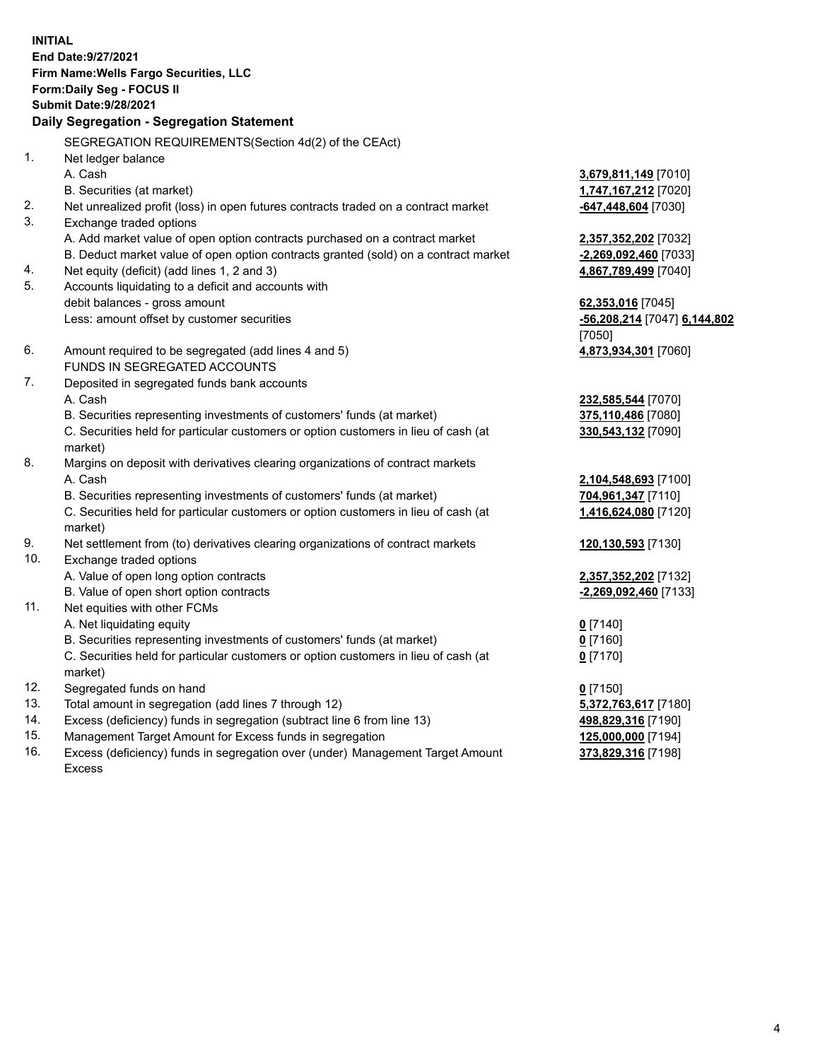**INITIAL End Date:9/27/2021 Firm Name:Wells Fargo Securities, LLC Form:Daily Seg - FOCUS II Submit Date:9/28/2021**

## **Daily Segregation - Segregation Statement**

SEGREGATION REQUIREMENTS(Section 4d(2) of the CEAct)

|     | OLONLOATION INLQUINLIVILIVI O(OCCIDII 40(Z) OI THE OLACI)                           |                              |
|-----|-------------------------------------------------------------------------------------|------------------------------|
| 1.  | Net ledger balance                                                                  |                              |
|     | A. Cash                                                                             | 3,679,811,149 [7010]         |
|     | B. Securities (at market)                                                           | 1,747,167,212 [7020]         |
| 2.  | Net unrealized profit (loss) in open futures contracts traded on a contract market  | -647,448,604 [7030]          |
| 3.  | Exchange traded options                                                             |                              |
|     | A. Add market value of open option contracts purchased on a contract market         | 2,357,352,202 [7032]         |
|     | B. Deduct market value of open option contracts granted (sold) on a contract market | -2,269,092,460 [7033]        |
| 4.  | Net equity (deficit) (add lines 1, 2 and 3)                                         | 4,867,789,499 [7040]         |
| 5.  | Accounts liquidating to a deficit and accounts with                                 |                              |
|     | debit balances - gross amount                                                       | 62,353,016 [7045]            |
|     | Less: amount offset by customer securities                                          | -56,208,214 [7047] 6,144,802 |
|     |                                                                                     | [7050]                       |
| 6.  | Amount required to be segregated (add lines 4 and 5)                                | 4,873,934,301 [7060]         |
|     | FUNDS IN SEGREGATED ACCOUNTS                                                        |                              |
| 7.  | Deposited in segregated funds bank accounts                                         |                              |
|     | A. Cash                                                                             | 232,585,544 [7070]           |
|     | B. Securities representing investments of customers' funds (at market)              | 375,110,486 [7080]           |
|     | C. Securities held for particular customers or option customers in lieu of cash (at | 330,543,132 [7090]           |
|     | market)                                                                             |                              |
| 8.  | Margins on deposit with derivatives clearing organizations of contract markets      |                              |
|     | A. Cash                                                                             | 2,104,548,693 [7100]         |
|     | B. Securities representing investments of customers' funds (at market)              | 704,961,347 [7110]           |
|     | C. Securities held for particular customers or option customers in lieu of cash (at | 1,416,624,080 [7120]         |
|     | market)                                                                             |                              |
| 9.  | Net settlement from (to) derivatives clearing organizations of contract markets     | 120,130,593 [7130]           |
| 10. | Exchange traded options                                                             |                              |
|     | A. Value of open long option contracts                                              | 2,357,352,202 [7132]         |
|     | B. Value of open short option contracts                                             | -2,269,092,460 [7133]        |
| 11. | Net equities with other FCMs                                                        |                              |
|     | A. Net liquidating equity                                                           | $0$ [7140]                   |
|     | B. Securities representing investments of customers' funds (at market)              | $0$ [7160]                   |
|     | C. Securities held for particular customers or option customers in lieu of cash (at | $0$ [7170]                   |
|     | market)                                                                             |                              |
| 12. | Segregated funds on hand                                                            | $0$ [7150]                   |
| 13. | Total amount in segregation (add lines 7 through 12)                                | 5,372,763,617 [7180]         |
| 14. | Excess (deficiency) funds in segregation (subtract line 6 from line 13)             | 498,829,316 [7190]           |
| 15. | Management Target Amount for Excess funds in segregation                            | 125,000,000 [7194]           |
| 16. | Excess (deficiency) funds in segregation over (under) Management Target Amount      | 373,829,316 [7198]           |
|     | Excess                                                                              |                              |